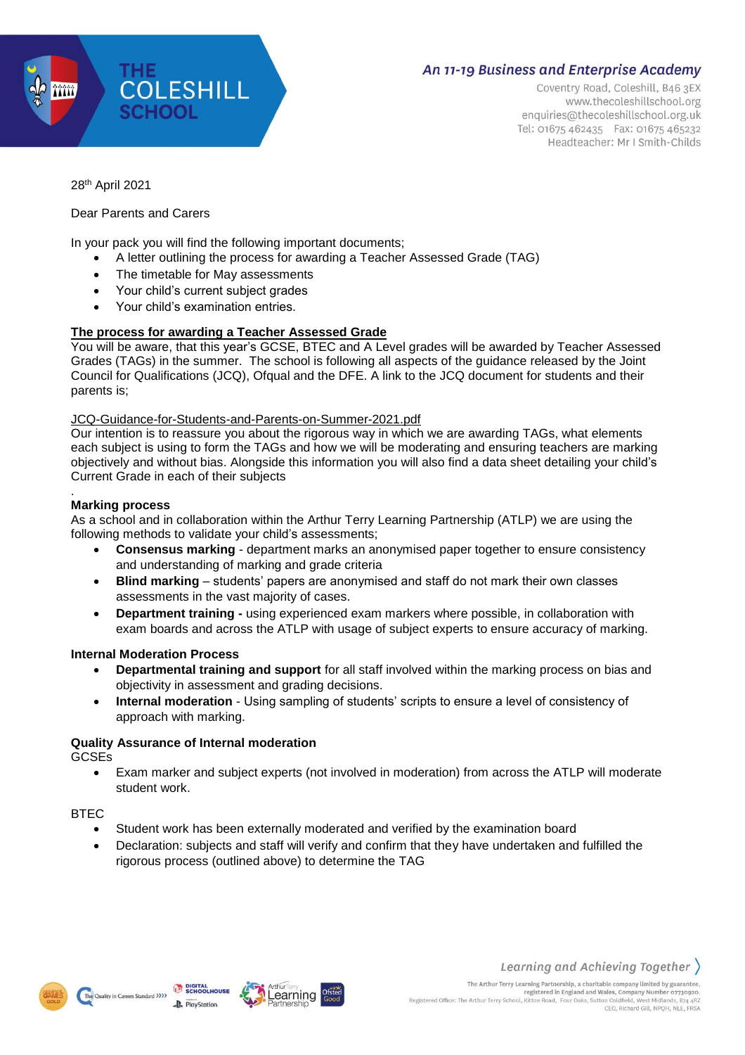

## **An 11-19 Business and Enterprise Academy**

Coventry Road, Coleshill, B46 3EX www.thecoleshillschool.org enquiries@thecoleshillschool.org.uk Tel: 01675 462435 Fax: 01675 465232 Headteacher: Mr I Smith-Childs

28th April 2021

## Dear Parents and Carers

In your pack you will find the following important documents;

- A letter outlining the process for awarding a Teacher Assessed Grade (TAG)
- The timetable for May assessments
- Your child's current subject grades
- Your child's examination entries.

## **The process for awarding a Teacher Assessed Grade**

You will be aware, that this year's GCSE, BTEC and A Level grades will be awarded by Teacher Assessed Grades (TAGs) in the summer. The school is following all aspects of the guidance released by the Joint Council for Qualifications (JCQ), Ofqual and the DFE. A link to the JCQ document for students and their parents is;

#### [JCQ-Guidance-for-Students-and-Parents-on-Summer-2021.pdf](https://www.jcq.org.uk/wp-content/uploads/2021/03/JCQ-Guidance-for-Students-and-Parents-on-Summer-2021.pdf)

Our intention is to reassure you about the rigorous way in which we are awarding TAGs, what elements each subject is using to form the TAGs and how we will be moderating and ensuring teachers are marking objectively and without bias. Alongside this information you will also find a data sheet detailing your child's Current Grade in each of their subjects

#### . **Marking process**

As a school and in collaboration within the Arthur Terry Learning Partnership (ATLP) we are using the following methods to validate your child's assessments;

- **Consensus marking** department marks an anonymised paper together to ensure consistency and understanding of marking and grade criteria
- **Blind marking** students' papers are anonymised and staff do not mark their own classes assessments in the vast majority of cases.
- **Department training -** using experienced exam markers where possible, in collaboration with exam boards and across the ATLP with usage of subject experts to ensure accuracy of marking.

#### **Internal Moderation Process**

- **Departmental training and support** for all staff involved within the marking process on bias and objectivity in assessment and grading decisions.
- **Internal moderation** Using sampling of students' scripts to ensure a level of consistency of approach with marking.

## **Quality Assurance of Internal moderation**

GCSEs

 Exam marker and subject experts (not involved in moderation) from across the ATLP will moderate student work.

**BTEC** 

- Student work has been externally moderated and verified by the examination board
- Declaration: subjects and staff will verify and confirm that they have undertaken and fulfilled the rigorous process (outlined above) to determine the TAG





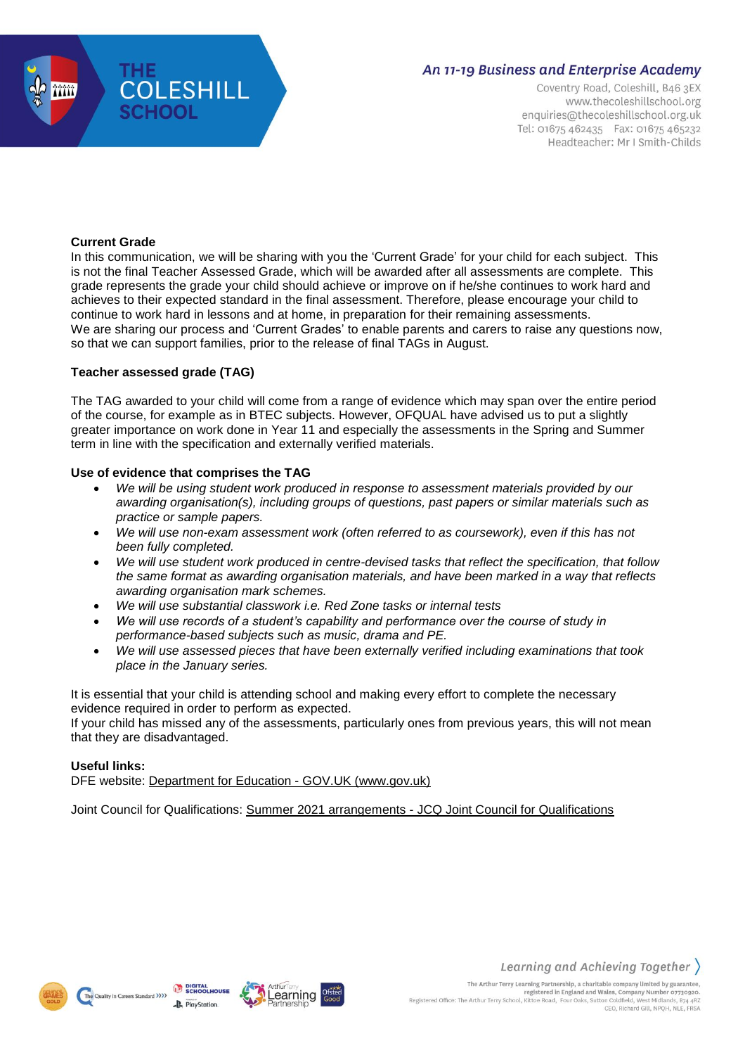

## **An 11-19 Business and Enterprise Academy**

Coventry Road, Coleshill, B46 3EX www.thecoleshillschool.org enquiries@thecoleshillschool.org.uk Tel: 01675 462435 Fax: 01675 465232 Headteacher: Mr I Smith-Childs

## **Current Grade**

In this communication, we will be sharing with you the 'Current Grade' for your child for each subject. This is not the final Teacher Assessed Grade, which will be awarded after all assessments are complete. This grade represents the grade your child should achieve or improve on if he/she continues to work hard and achieves to their expected standard in the final assessment. Therefore, please encourage your child to continue to work hard in lessons and at home, in preparation for their remaining assessments. We are sharing our process and 'Current Grades' to enable parents and carers to raise any questions now, so that we can support families, prior to the release of final TAGs in August.

## **Teacher assessed grade (TAG)**

The TAG awarded to your child will come from a range of evidence which may span over the entire period of the course, for example as in BTEC subjects. However, OFQUAL have advised us to put a slightly greater importance on work done in Year 11 and especially the assessments in the Spring and Summer term in line with the specification and externally verified materials.

## **Use of evidence that comprises the TAG**

- *We will be using student work produced in response to assessment materials provided by our awarding organisation(s), including groups of questions, past papers or similar materials such as practice or sample papers.*
- *We will use non-exam assessment work (often referred to as coursework), even if this has not been fully completed.*
- *We will use student work produced in centre-devised tasks that reflect the specification, that follow the same format as awarding organisation materials, and have been marked in a way that reflects awarding organisation mark schemes.*
- *We will use substantial classwork i.e. Red Zone tasks or internal tests*
- *We will use records of a student's capability and performance over the course of study in performance-based subjects such as music, drama and PE.*
- *We will use assessed pieces that have been externally verified including examinations that took place in the January series.*

It is essential that your child is attending school and making every effort to complete the necessary evidence required in order to perform as expected.

If your child has missed any of the assessments, particularly ones from previous years, this will not mean that they are disadvantaged.

## **Useful links:**

DFE website: Department for Education - GOV.UK [\(www.gov.uk\)](https://www.gov.uk/government/organisations/department-for-education)

Joint Council for Qualifications: Summer 2021 [arrangements](https://www.jcq.org.uk/summer-2021-arrangements/) - JCQ Joint Council for Qualifications